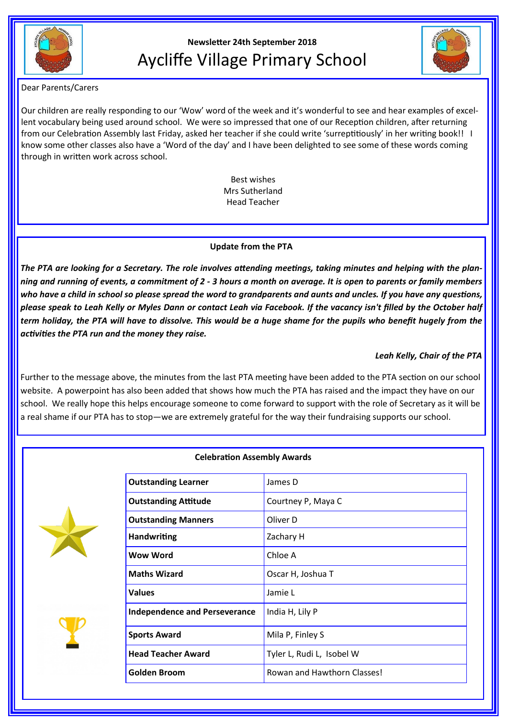

# **Newsletter 24th September 2018** Aycliffe Village Primary School



## Dear Parents/Carers

Our children are really responding to our 'Wow' word of the week and it's wonderful to see and hear examples of excellent vocabulary being used around school. We were so impressed that one of our Reception children, after returning from our Celebration Assembly last Friday, asked her teacher if she could write 'surreptitiously' in her writing book!! I know some other classes also have a 'Word of the day' and I have been delighted to see some of these words coming through in written work across school.

> Best wishes Mrs Sutherland Head Teacher

## **Update from the PTA**

*The PTA are looking for a Secretary. The role involves attending meetings, taking minutes and helping with the planning and running of events, a commitment of 2 - 3 hours a month on average. It is open to parents or family members who have a child in school so please spread the word to grandparents and aunts and uncles. If you have any questions, please speak to Leah Kelly or Myles Dann or contact Leah via Facebook. If the vacancy isn't filled by the October half term holiday, the PTA will have to dissolve. This would be a huge shame for the pupils who benefit hugely from the activities the PTA run and the money they raise.* 

# *Leah Kelly, Chair of the PTA*

Further to the message above, the minutes from the last PTA meeting have been added to the PTA section on our school website. A powerpoint has also been added that shows how much the PTA has raised and the impact they have on our school. We really hope this helps encourage someone to come forward to support with the role of Secretary as it will be a real shame if our PTA has to stop—we are extremely grateful for the way their fundraising supports our school.



### **Celebration Assembly Awards**

| <b>Outstanding Learner</b>           | James D                     |
|--------------------------------------|-----------------------------|
| <b>Outstanding Attitude</b>          | Courtney P, Maya C          |
| <b>Outstanding Manners</b>           | Oliver D                    |
| <b>Handwriting</b>                   | Zachary H                   |
| Wow Word                             | Chloe A                     |
| <b>Maths Wizard</b>                  | Oscar H, Joshua T           |
| <b>Values</b>                        | Jamie L                     |
| <b>Independence and Perseverance</b> | India H, Lily P             |
| <b>Sports Award</b>                  | Mila P, Finley S            |
| <b>Head Teacher Award</b>            | Tyler L, Rudi L, Isobel W   |
| Golden Broom                         | Rowan and Hawthorn Classes! |
|                                      |                             |